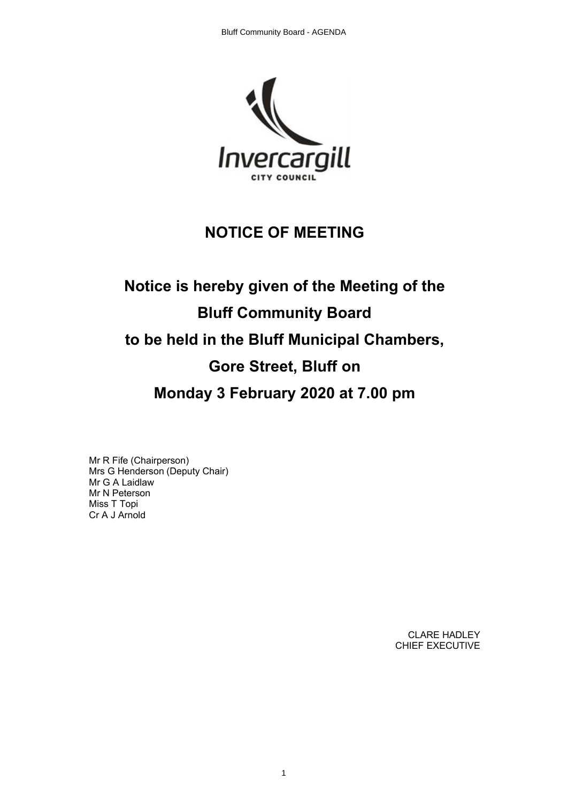

## **NOTICE OF MEETING**

# **Notice is hereby given of the Meeting of the Bluff Community Board to be held in the Bluff Municipal Chambers, Gore Street, Bluff on Monday 3 February 2020 at 7.00 pm**

Mr R Fife (Chairperson) Mrs G Henderson (Deputy Chair) Mr G A Laidlaw Mr N Peterson Miss T Topi Cr A J Arnold

> CLARE HADLEY CHIEF EXECUTIVE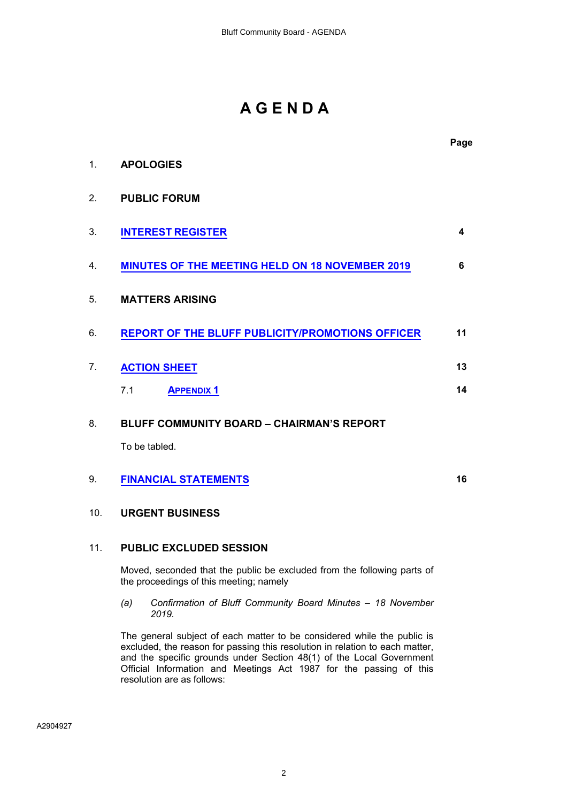# **A G E N D A**

|     |                                                                         | Page |
|-----|-------------------------------------------------------------------------|------|
| 1.  | <b>APOLOGIES</b>                                                        |      |
| 2.  | <b>PUBLIC FORUM</b>                                                     |      |
| 3.  | <b>INTEREST REGISTER</b>                                                | 4    |
| 4.  | <b>MINUTES OF THE MEETING HELD ON 18 NOVEMBER 2019</b>                  | 6    |
| 5.  | <b>MATTERS ARISING</b>                                                  |      |
| 6.  | <b>REPORT OF THE BLUFF PUBLICITY/PROMOTIONS OFFICER</b>                 | 11   |
| 7.  | <b>ACTION SHEET</b>                                                     | 13   |
|     | <b>APPENDIX 1</b><br>7.1                                                | 14   |
| 8.  | <b>BLUFF COMMUNITY BOARD - CHAIRMAN'S REPORT</b>                        |      |
|     | To be tabled.                                                           |      |
| 9.  | <b>FINANCIAL STATEMENTS</b>                                             | 16   |
| 10. | <b>URGENT BUSINESS</b>                                                  |      |
| 11. | <b>PUBLIC EXCLUDED SESSION</b>                                          |      |
|     | Moved, seconded that the public be excluded from the following parts of |      |

*(a) Confirmation of Bluff Community Board Minutes – 18 November 2019.*

the proceedings of this meeting; namely

The general subject of each matter to be considered while the public is excluded, the reason for passing this resolution in relation to each matter, and the specific grounds under Section 48(1) of the Local Government Official Information and Meetings Act 1987 for the passing of this resolution are as follows: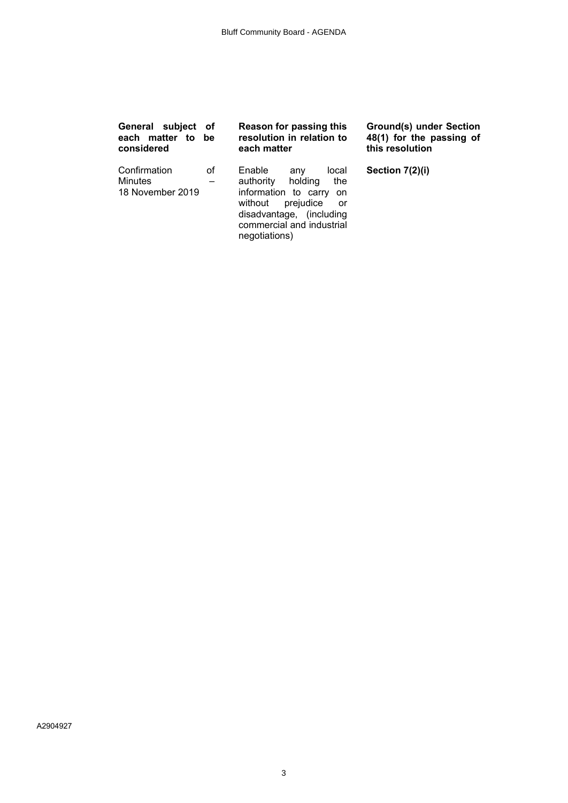| General subject of                                 | be | Reason for passing this                                                                                                                                                                       | <b>Ground(s) under Section</b> |
|----------------------------------------------------|----|-----------------------------------------------------------------------------------------------------------------------------------------------------------------------------------------------|--------------------------------|
| each matter to                                     |    | resolution in relation to                                                                                                                                                                     | 48(1) for the passing of       |
| considered                                         |    | each matter                                                                                                                                                                                   | this resolution                |
| Confirmation<br><b>Minutes</b><br>18 November 2019 | οf | Enable<br>local<br>any<br>authority<br>holding<br>the<br>information to carry<br>on<br>prejudice<br>without<br>or -<br>disadvantage, (including<br>commercial and industrial<br>negotiations) | Section 7(2)(i)                |

A2904927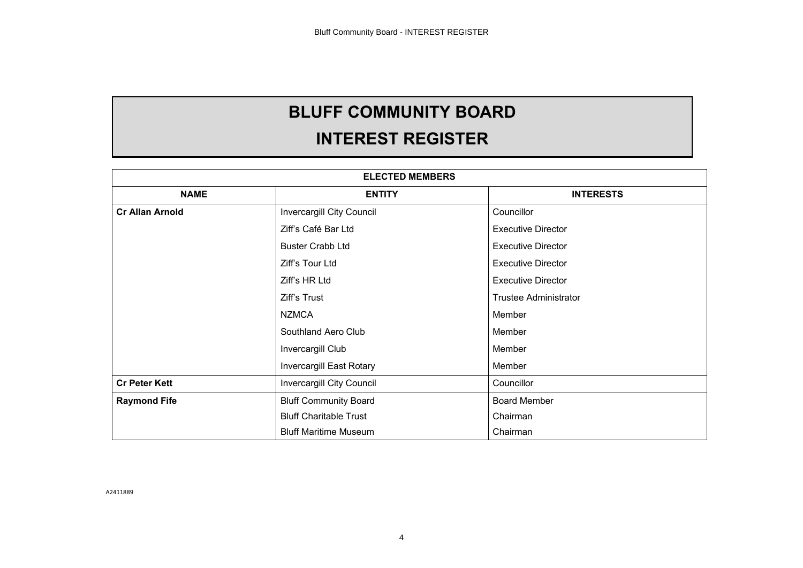# **BLUFF COMMUNITY BOARD**

# **INTEREST REGISTER**

<span id="page-3-0"></span>

|                        | <b>ELECTED MEMBERS</b>        |                              |  |  |  |
|------------------------|-------------------------------|------------------------------|--|--|--|
| <b>NAME</b>            | <b>INTERESTS</b>              |                              |  |  |  |
| <b>Cr Allan Arnold</b> | Invercargill City Council     | Councillor                   |  |  |  |
|                        | Ziff's Café Bar Ltd           | <b>Executive Director</b>    |  |  |  |
|                        | <b>Buster Crabb Ltd</b>       | <b>Executive Director</b>    |  |  |  |
|                        | Ziff's Tour Ltd               | <b>Executive Director</b>    |  |  |  |
|                        | Ziff's HR Ltd                 | <b>Executive Director</b>    |  |  |  |
|                        | Ziff's Trust                  | <b>Trustee Administrator</b> |  |  |  |
|                        | <b>NZMCA</b>                  | Member                       |  |  |  |
|                        | Southland Aero Club           | Member                       |  |  |  |
|                        | Invercargill Club             | Member                       |  |  |  |
|                        | Invercargill East Rotary      | Member                       |  |  |  |
| <b>Cr Peter Kett</b>   | Invercargill City Council     | Councillor                   |  |  |  |
| <b>Raymond Fife</b>    | <b>Bluff Community Board</b>  | <b>Board Member</b>          |  |  |  |
|                        | <b>Bluff Charitable Trust</b> | Chairman                     |  |  |  |
|                        | <b>Bluff Maritime Museum</b>  | Chairman                     |  |  |  |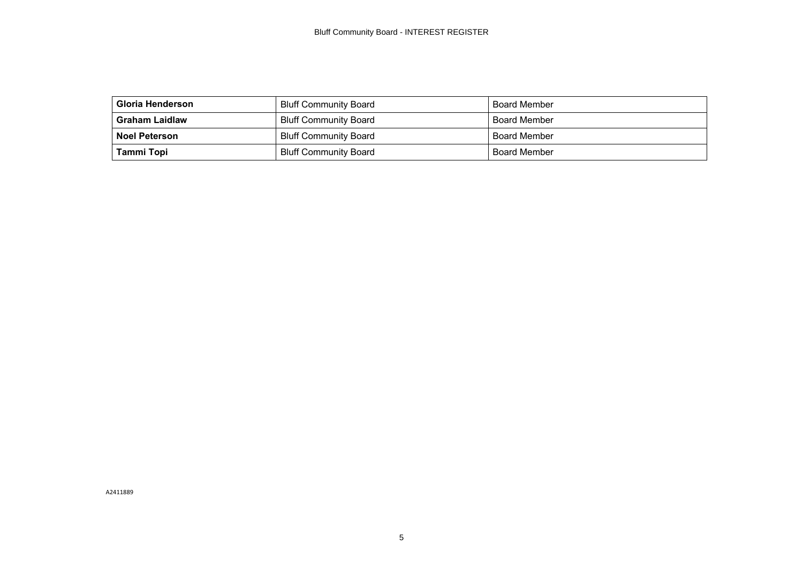| Gloria Henderson      | <b>Bluff Community Board</b> | <b>Board Member</b> |
|-----------------------|------------------------------|---------------------|
| <b>Graham Laidlaw</b> | <b>Bluff Community Board</b> | <b>Board Member</b> |
| <b>Noel Peterson</b>  | <b>Bluff Community Board</b> | <b>Board Member</b> |
| Tammi Topi            | <b>Bluff Community Board</b> | <b>Board Member</b> |

A2411889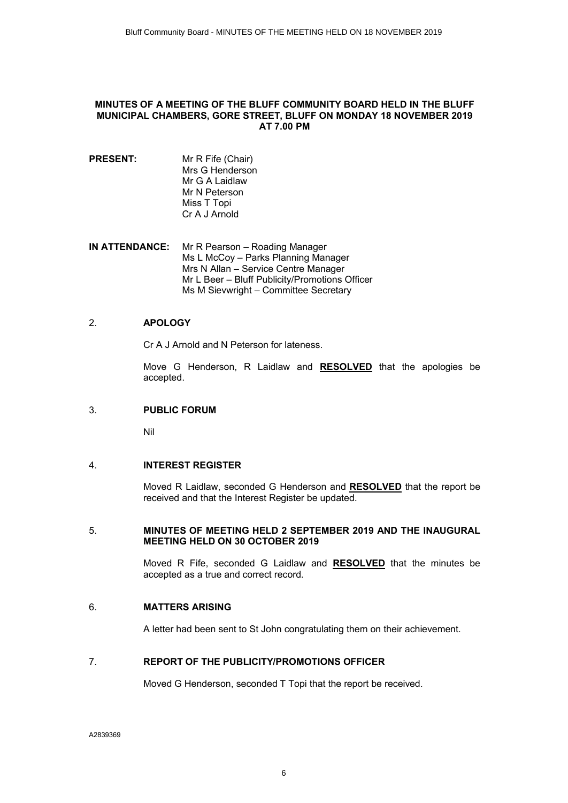#### <span id="page-5-0"></span>**MINUTES OF A MEETING OF THE BLUFF COMMUNITY BOARD HELD IN THE BLUFF MUNICIPAL CHAMBERS, GORE STREET, BLUFF ON MONDAY 18 NOVEMBER 2019 AT 7.00 PM**

#### **PRESENT:** Mr R Fife (Chair) Mrs G Henderson Mr G A Laidlaw Mr N Peterson Miss T Topi Cr A J Arnold

**IN ATTENDANCE:** Mr R Pearson – Roading Manager Ms L McCoy – Parks Planning Manager Mrs N Allan – Service Centre Manager Mr L Beer – Bluff Publicity/Promotions Officer Ms M Sievwright – Committee Secretary

#### 2. **APOLOGY**

Cr A J Arnold and N Peterson for lateness.

Move G Henderson, R Laidlaw and **RESOLVED** that the apologies be accepted.

#### 3. **PUBLIC FORUM**

Nil

#### 4. **INTEREST REGISTER**

Moved R Laidlaw, seconded G Henderson and **RESOLVED** that the report be received and that the Interest Register be updated.

#### 5. **MINUTES OF MEETING HELD 2 SEPTEMBER 2019 AND THE INAUGURAL MEETING HELD ON 30 OCTOBER 2019**

Moved R Fife, seconded G Laidlaw and **RESOLVED** that the minutes be accepted as a true and correct record.

#### 6. **MATTERS ARISING**

A letter had been sent to St John congratulating them on their achievement.

#### 7. **REPORT OF THE PUBLICITY/PROMOTIONS OFFICER**

Moved G Henderson, seconded T Topi that the report be received.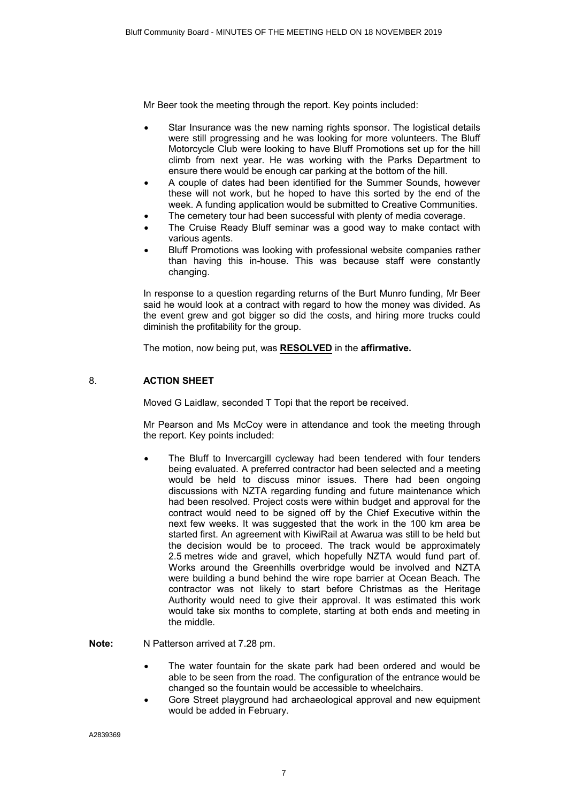Mr Beer took the meeting through the report. Key points included:

- Star Insurance was the new naming rights sponsor. The logistical details were still progressing and he was looking for more volunteers. The Bluff Motorcycle Club were looking to have Bluff Promotions set up for the hill climb from next year. He was working with the Parks Department to ensure there would be enough car parking at the bottom of the hill.
- ∑ A couple of dates had been identified for the Summer Sounds, however these will not work, but he hoped to have this sorted by the end of the week. A funding application would be submitted to Creative Communities.
- The cemetery tour had been successful with plenty of media coverage.
- The Cruise Ready Bluff seminar was a good way to make contact with various agents.
- ∑ Bluff Promotions was looking with professional website companies rather than having this in-house. This was because staff were constantly changing.

In response to a question regarding returns of the Burt Munro funding, Mr Beer said he would look at a contract with regard to how the money was divided. As the event grew and got bigger so did the costs, and hiring more trucks could diminish the profitability for the group.

The motion, now being put, was **RESOLVED** in the **affirmative.**

#### 8. **ACTION SHEET**

Moved G Laidlaw, seconded T Topi that the report be received.

Mr Pearson and Ms McCoy were in attendance and took the meeting through the report. Key points included:

The Bluff to Invercargill cycleway had been tendered with four tenders being evaluated. A preferred contractor had been selected and a meeting would be held to discuss minor issues. There had been ongoing discussions with NZTA regarding funding and future maintenance which had been resolved. Project costs were within budget and approval for the contract would need to be signed off by the Chief Executive within the next few weeks. It was suggested that the work in the 100 km area be started first. An agreement with KiwiRail at Awarua was still to be held but the decision would be to proceed. The track would be approximately 2.5 metres wide and gravel, which hopefully NZTA would fund part of. Works around the Greenhills overbridge would be involved and NZTA were building a bund behind the wire rope barrier at Ocean Beach. The contractor was not likely to start before Christmas as the Heritage Authority would need to give their approval. It was estimated this work would take six months to complete, starting at both ends and meeting in the middle.

**Note:** N Patterson arrived at 7.28 pm.

- The water fountain for the skate park had been ordered and would be able to be seen from the road. The configuration of the entrance would be changed so the fountain would be accessible to wheelchairs.
- ∑ Gore Street playground had archaeological approval and new equipment would be added in February.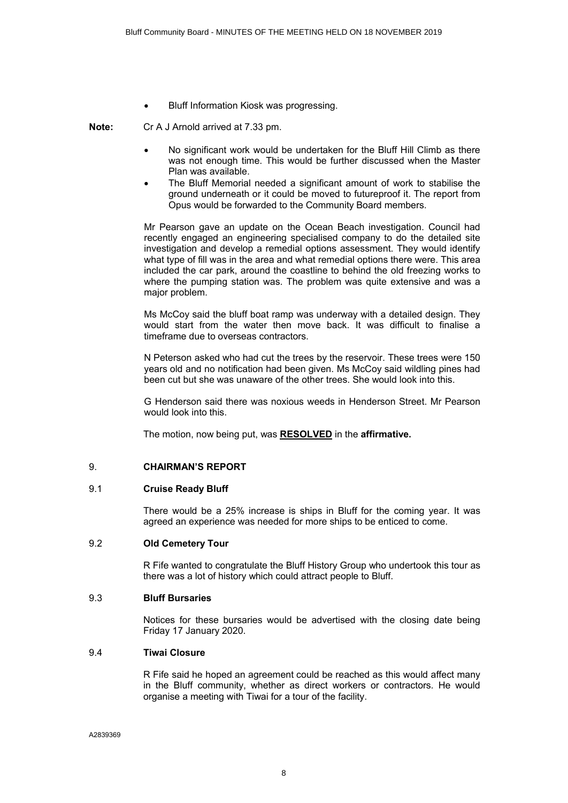∑ Bluff Information Kiosk was progressing.

**Note:** Cr A J Arnold arrived at 7.33 pm.

- ∑ No significant work would be undertaken for the Bluff Hill Climb as there was not enough time. This would be further discussed when the Master Plan was available.
- The Bluff Memorial needed a significant amount of work to stabilise the ground underneath or it could be moved to futureproof it. The report from Opus would be forwarded to the Community Board members.

Mr Pearson gave an update on the Ocean Beach investigation. Council had recently engaged an engineering specialised company to do the detailed site investigation and develop a remedial options assessment. They would identify what type of fill was in the area and what remedial options there were. This area included the car park, around the coastline to behind the old freezing works to where the pumping station was. The problem was quite extensive and was a major problem.

Ms McCoy said the bluff boat ramp was underway with a detailed design. They would start from the water then move back. It was difficult to finalise a timeframe due to overseas contractors.

N Peterson asked who had cut the trees by the reservoir. These trees were 150 years old and no notification had been given. Ms McCoy said wildling pines had been cut but she was unaware of the other trees. She would look into this.

G Henderson said there was noxious weeds in Henderson Street. Mr Pearson would look into this.

The motion, now being put, was **RESOLVED** in the **affirmative.**

#### 9. **CHAIRMAN'S REPORT**

#### 9.1 **Cruise Ready Bluff**

There would be a 25% increase is ships in Bluff for the coming year. It was agreed an experience was needed for more ships to be enticed to come.

#### 9.2 **Old Cemetery Tour**

R Fife wanted to congratulate the Bluff History Group who undertook this tour as there was a lot of history which could attract people to Bluff.

#### 9.3 **Bluff Bursaries**

Notices for these bursaries would be advertised with the closing date being Friday 17 January 2020.

#### 9.4 **Tiwai Closure**

R Fife said he hoped an agreement could be reached as this would affect many in the Bluff community, whether as direct workers or contractors. He would organise a meeting with Tiwai for a tour of the facility.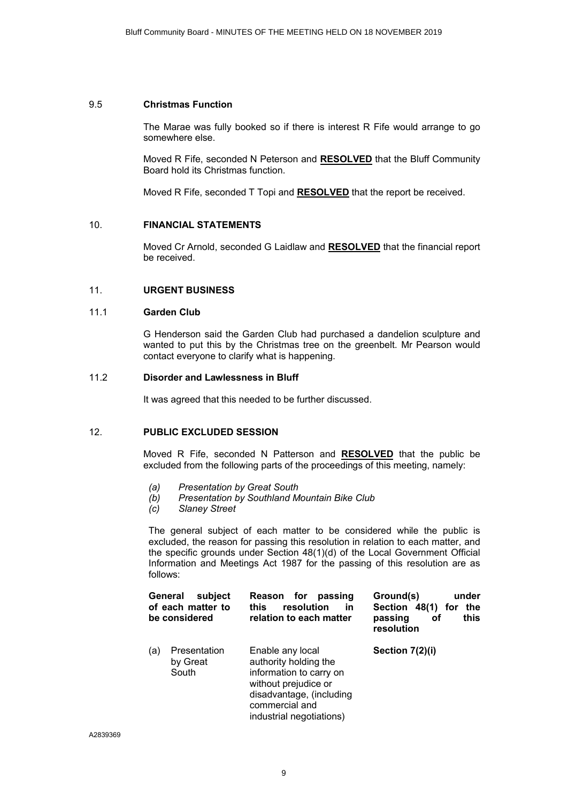#### 9.5 **Christmas Function**

The Marae was fully booked so if there is interest R Fife would arrange to go somewhere else.

Moved R Fife, seconded N Peterson and **RESOLVED** that the Bluff Community Board hold its Christmas function.

Moved R Fife, seconded T Topi and **RESOLVED** that the report be received.

#### 10. **FINANCIAL STATEMENTS**

Moved Cr Arnold, seconded G Laidlaw and **RESOLVED** that the financial report be received.

#### 11. **URGENT BUSINESS**

#### 11.1 **Garden Club**

G Henderson said the Garden Club had purchased a dandelion sculpture and wanted to put this by the Christmas tree on the greenbelt. Mr Pearson would contact everyone to clarify what is happening.

#### 11.2 **Disorder and Lawlessness in Bluff**

It was agreed that this needed to be further discussed.

#### 12. **PUBLIC EXCLUDED SESSION**

Moved R Fife, seconded N Patterson and **RESOLVED** that the public be excluded from the following parts of the proceedings of this meeting, namely:

- *(a) Presentation by Great South*
- *(b) Presentation by Southland Mountain Bike Club*
- *(c) Slaney Street*

The general subject of each matter to be considered while the public is excluded, the reason for passing this resolution in relation to each matter, and the specific grounds under Section 48(1)(d) of the Local Government Official Information and Meetings Act 1987 for the passing of this resolution are as follows:

| General<br>subject<br>of each matter to<br>be considered | for<br>passing<br><b>Reason</b><br>resolution<br>this<br>in<br>relation to each matter                                                                                 | Ground(s)<br>under<br>Section 48(1)<br>the<br>for<br>this<br>passing<br>оf<br>resolution |
|----------------------------------------------------------|------------------------------------------------------------------------------------------------------------------------------------------------------------------------|------------------------------------------------------------------------------------------|
| Presentation<br>(a)<br>by Great<br>South                 | Enable any local<br>authority holding the<br>information to carry on<br>without prejudice or<br>disadvantage, (including<br>commercial and<br>industrial negotiations) | Section 7(2)(i)                                                                          |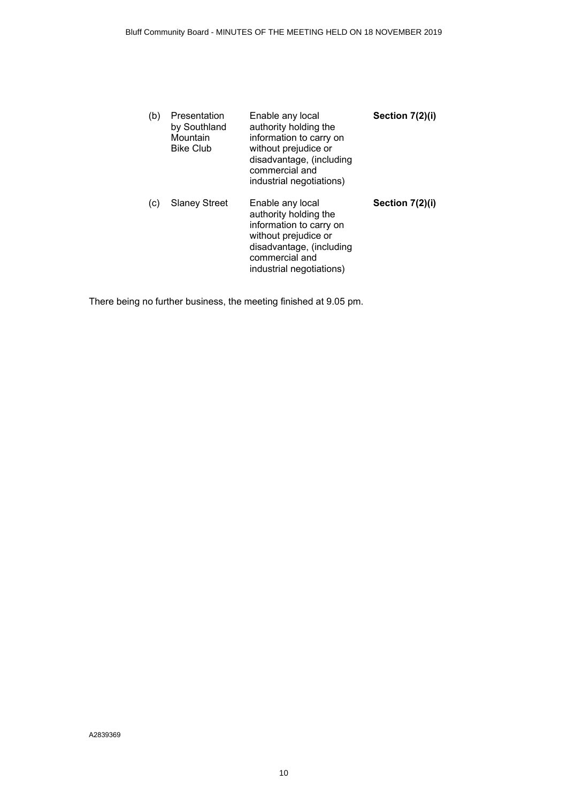| (b) | Presentation<br>by Southland<br>Mountain<br><b>Bike Club</b> | Enable any local<br>authority holding the<br>information to carry on<br>without prejudice or<br>disadvantage, (including<br>commercial and<br>industrial negotiations) | Section 7(2)(i) |
|-----|--------------------------------------------------------------|------------------------------------------------------------------------------------------------------------------------------------------------------------------------|-----------------|
| (c) | <b>Slaney Street</b>                                         | Enable any local<br>authority holding the<br>information to carry on<br>without prejudice or<br>disadvantage, (including<br>commercial and<br>industrial negotiations) | Section 7(2)(i) |

There being no further business, the meeting finished at 9.05 pm.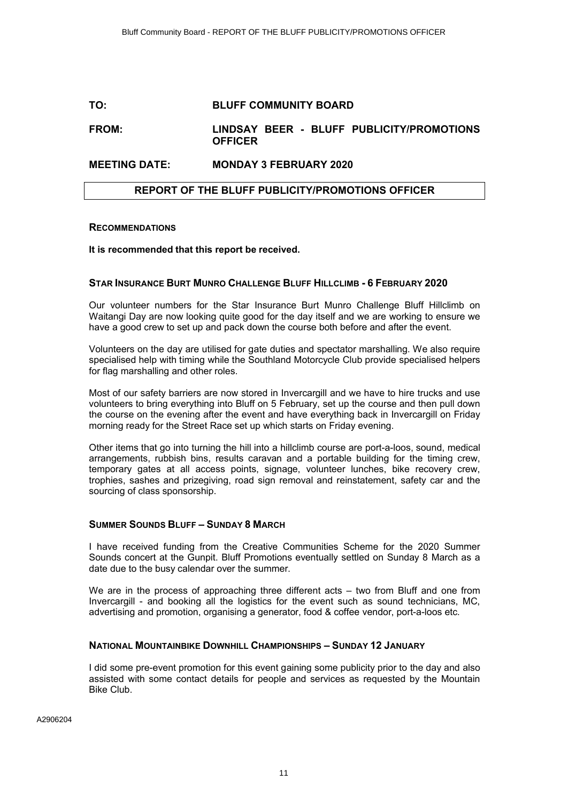#### <span id="page-10-0"></span>**TO: BLUFF COMMUNITY BOARD**

#### **FROM: LINDSAY BEER - BLUFF PUBLICITY/PROMOTIONS OFFICER**

#### **MEETING DATE: MONDAY 3 FEBRUARY 2020**

#### **REPORT OF THE BLUFF PUBLICITY/PROMOTIONS OFFICER**

#### **RECOMMENDATIONS**

#### **It is recommended that this report be received.**

#### **STAR INSURANCE BURT MUNRO CHALLENGE BLUFF HILLCLIMB - 6 FEBRUARY 2020**

Our volunteer numbers for the Star Insurance Burt Munro Challenge Bluff Hillclimb on Waitangi Day are now looking quite good for the day itself and we are working to ensure we have a good crew to set up and pack down the course both before and after the event.

Volunteers on the day are utilised for gate duties and spectator marshalling. We also require specialised help with timing while the Southland Motorcycle Club provide specialised helpers for flag marshalling and other roles.

Most of our safety barriers are now stored in Invercargill and we have to hire trucks and use volunteers to bring everything into Bluff on 5 February, set up the course and then pull down the course on the evening after the event and have everything back in Invercargill on Friday morning ready for the Street Race set up which starts on Friday evening.

Other items that go into turning the hill into a hillclimb course are port-a-loos, sound, medical arrangements, rubbish bins, results caravan and a portable building for the timing crew, temporary gates at all access points, signage, volunteer lunches, bike recovery crew, trophies, sashes and prizegiving, road sign removal and reinstatement, safety car and the sourcing of class sponsorship.

#### **SUMMER SOUNDS BLUFF – SUNDAY 8 MARCH**

I have received funding from the Creative Communities Scheme for the 2020 Summer Sounds concert at the Gunpit. Bluff Promotions eventually settled on Sunday 8 March as a date due to the busy calendar over the summer.

We are in the process of approaching three different acts – two from Bluff and one from Invercargill - and booking all the logistics for the event such as sound technicians, MC, advertising and promotion, organising a generator, food & coffee vendor, port-a-loos etc.

#### **NATIONAL MOUNTAINBIKE DOWNHILL CHAMPIONSHIPS – SUNDAY 12 JANUARY**

I did some pre-event promotion for this event gaining some publicity prior to the day and also assisted with some contact details for people and services as requested by the Mountain Bike Club.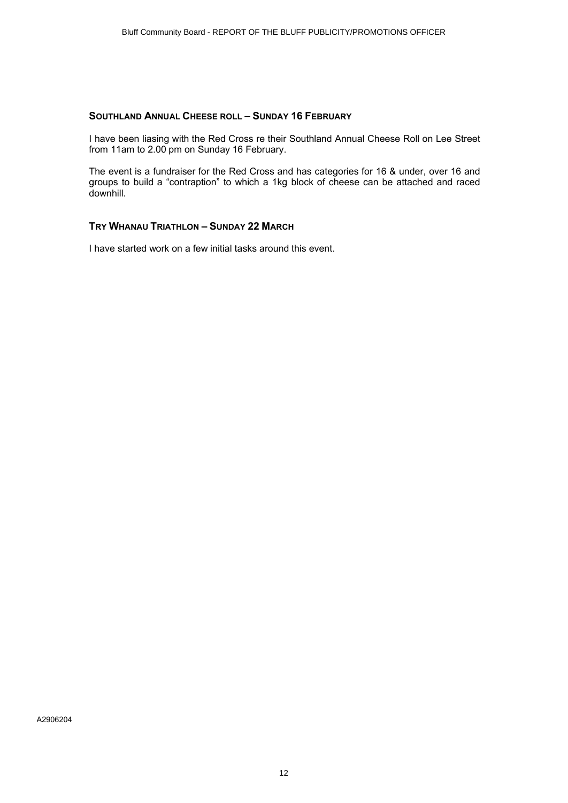#### **SOUTHLAND ANNUAL CHEESE ROLL – SUNDAY 16 FEBRUARY**

I have been liasing with the Red Cross re their Southland Annual Cheese Roll on Lee Street from 11am to 2.00 pm on Sunday 16 February.

The event is a fundraiser for the Red Cross and has categories for 16 & under, over 16 and groups to build a "contraption" to which a 1kg block of cheese can be attached and raced downhill.

## **TRY WHANAU TRIATHLON – SUNDAY 22 MARCH**

I have started work on a few initial tasks around this event.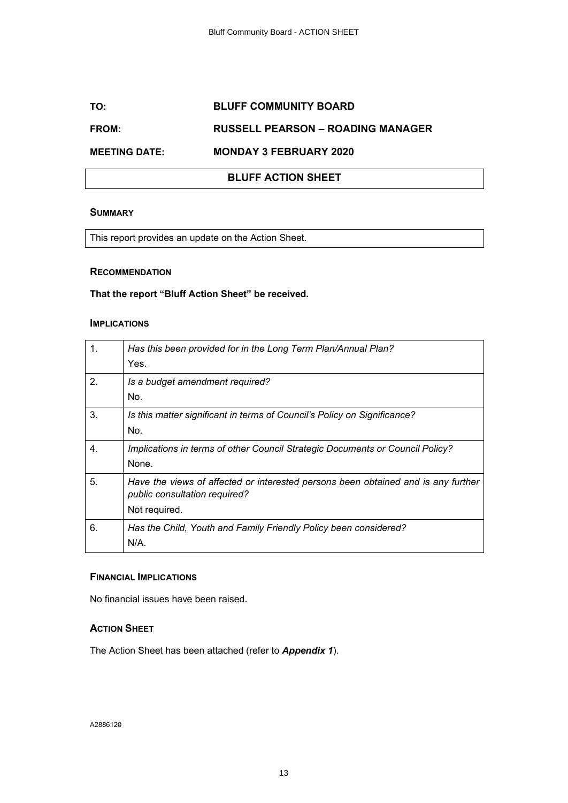### <span id="page-12-0"></span>**TO: BLUFF COMMUNITY BOARD**

#### **FROM: RUSSELL PEARSON – ROADING MANAGER**

### **MEETING DATE: MONDAY 3 FEBRUARY 2020**

## **BLUFF ACTION SHEET**

#### **SUMMARY**

This report provides an update on the Action Sheet.

#### **RECOMMENDATION**

#### **That the report "Bluff Action Sheet" be received.**

#### **IMPLICATIONS**

| 1. | Has this been provided for in the Long Term Plan/Annual Plan?<br>Yes.                                                               |
|----|-------------------------------------------------------------------------------------------------------------------------------------|
| 2. | Is a budget amendment required?<br>No.                                                                                              |
| 3. | Is this matter significant in terms of Council's Policy on Significance?<br>No.                                                     |
| 4. | Implications in terms of other Council Strategic Documents or Council Policy?<br>None.                                              |
| 5. | Have the views of affected or interested persons been obtained and is any further<br>public consultation required?<br>Not required. |
| 6. | Has the Child, Youth and Family Friendly Policy been considered?<br>$N/A$ .                                                         |

#### **FINANCIAL IMPLICATIONS**

No financial issues have been raised.

#### **ACTION SHEET**

The Action Sheet has been attached (refer to *Appendix 1*).

A2886120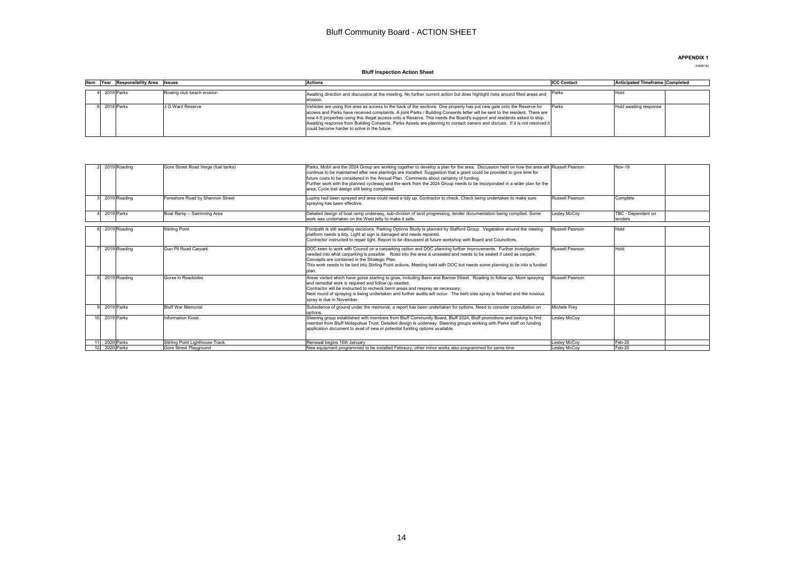#### Bluff Community Board - ACTION SHEET

#### **APPENDIX 1**

#### A2886182

#### **Bluff Inspection Action Sheet**

<span id="page-13-0"></span>

|  | Item Year Responsibility Area Issues |                           | <b>Actions</b>                                                                                                                                                                                                                                                                                                                                                                                                                                                                                                                                                  | <b>ICC Contact</b> | Anticipated Timeframe Completed |
|--|--------------------------------------|---------------------------|-----------------------------------------------------------------------------------------------------------------------------------------------------------------------------------------------------------------------------------------------------------------------------------------------------------------------------------------------------------------------------------------------------------------------------------------------------------------------------------------------------------------------------------------------------------------|--------------------|---------------------------------|
|  |                                      |                           |                                                                                                                                                                                                                                                                                                                                                                                                                                                                                                                                                                 |                    |                                 |
|  | 4 2018 Parks                         | Rowing club beach erosion | Awaiting direction and discussion at the meeting. No further current action but does highlight risks around filled areas and Parks<br>erosion.                                                                                                                                                                                                                                                                                                                                                                                                                  |                    | Hold                            |
|  | 2018 Parks                           | J G Ward Reserve          | Vehicles are using this area as access to the back of the sections. One property has put new gate onto the Reserve for<br>access and Parks have received complaints. A joint Parks / Building Consents letter will be sent to the resident. There are<br>now 4-5 properties using this illegal access onto a Reserve. This needs the Board's support and residents asked to stop.<br>Awaiting response from Building Consents. Parks Assets are planning to contact owners and discuss. If it is not resolved it<br>could become harder to solve in the future. | Parks              | Hold awaiting response          |

|               | 2019 Roading | Gore Street Road Verge (fuel tanks) | Parks. Mobil and the 2024 Group are working together to develop a plan for the area. Discussion held on how the area will Russell Pearson<br>continue to be maintained after new plantings are installed. Suggestion that a grant could be provided to give time for<br>future costs to be considered in the Annual Plan. Comments about certainty of funding.<br>Further work with the planned cycleway and the work from the 2024 Group needs to be incorporated in a wider plan for the<br>area. Cycle trail design still being completed. |                        | <b>Nov-19</b>                 |
|---------------|--------------|-------------------------------------|-----------------------------------------------------------------------------------------------------------------------------------------------------------------------------------------------------------------------------------------------------------------------------------------------------------------------------------------------------------------------------------------------------------------------------------------------------------------------------------------------------------------------------------------------|------------------------|-------------------------------|
|               | 2019 Roading | Foreshore Road by Shannon Street    | Lupins had been sprayed and area could need a tidy up. Contractor to check. Check being undertaken to make sure<br>spraying has been effective.                                                                                                                                                                                                                                                                                                                                                                                               | Russell Pearson        | Complete                      |
|               | 2019 Parks   | Boat Ramp - Swimming Area           | Detailed design of boat ramp underway, sub-division of land progressing, tender documentation being compiled. Some<br>work was undertaken on the West jetty to make it safe.                                                                                                                                                                                                                                                                                                                                                                  | Leslev McCov           | TBC - Dependant on<br>tenders |
|               | 2019 Roading | Stirling Point                      | Footpath is still awaiting decisions. Parking Options Study is planned by Stafford Group. Vegetation around the viewing<br>platform needs a tidy. Light at sign is damaged and needs repaired.<br>Contractor instructed to repair light. Report to be discussed at future workshop with Board and Councillors.                                                                                                                                                                                                                                | <b>Russell Pearson</b> | Hold                          |
|               | 2019 Roading | Gun Pit Road Carpark                | DOC keen to work with Council on a carparking option and DOC planning further improvements. Further investigation<br>needed into what carparking is possible. Road into the area is unsealed and needs to be sealed if used as carpark.<br>Concepts are contained in the Strategic Plan.<br>This work needs to be tied into Stirling Point actions. Meeting held with DOC but needs some planning to tie into a funded<br>plan.                                                                                                               | Russell Pearson        | Hold                          |
|               | 2019 Roading | Gorse in Roadsides                  | Areas visited which have gorse starting to grow, including Bann and Barrow Street. Roading to follow up. More spraying<br>and remedial work is required and follow up needed.<br>Contractor will be instructed to recheck berm areas and respray as necessary.<br>Next round of spraying is being undertaken and further audits will occur. The kerb side spray is finished and the noxious<br>sprav is due in November.                                                                                                                      | Russell Pearson        |                               |
|               | 2019 Parks   | <b>Bluff War Memorial</b>           | Subsidence of ground under the memorial, a report has been undertaken for options. Need to consider consultation on<br>options.                                                                                                                                                                                                                                                                                                                                                                                                               | Michele Frev           |                               |
|               | 2019 Parks   | <b>Information Kiosk</b>            | Steering group established with members from Bluff Community Board, Bluff 2024, Bluff promotions and looking to find<br>member from Bluff Motepohue Trust. Detailed design is underway. Steering groups working with Parks staff on funding<br>application document to avail of new or potential funding options available.                                                                                                                                                                                                                   | Lesley McCoy           |                               |
| 11            | 2020 Parks   | Stirling Point Lighthouse Track     | Renewal begins 16th January                                                                                                                                                                                                                                                                                                                                                                                                                                                                                                                   | Leslev McCov           | Feb-20                        |
| 12 2020 Parks |              | Gore Street Plavaround              | New equipment programmed to be installed Febraury, other minor works also programmed for same time                                                                                                                                                                                                                                                                                                                                                                                                                                            | Leslev McCov           | Feb-20                        |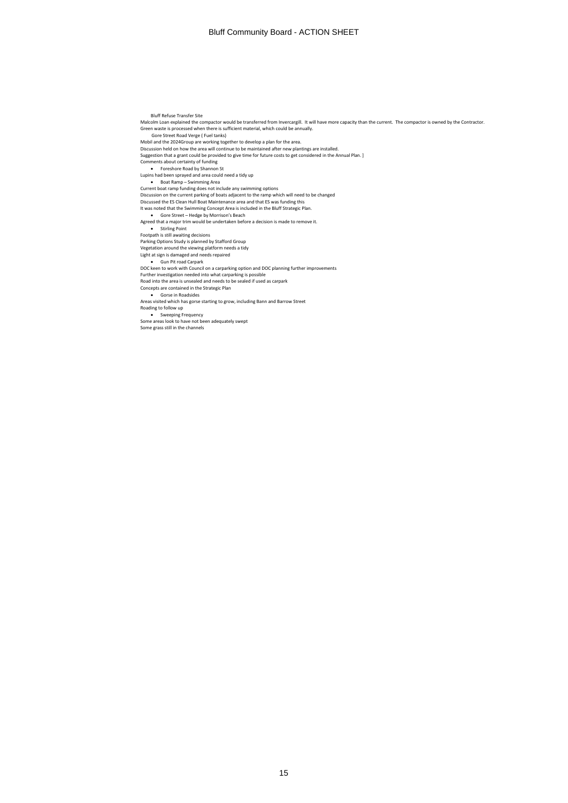Bluff Refuse Transfer Site

 Malcolm Loan explained the compactor would be transferred from Invercargill. It will have more capacity than the current. The compactor is owned by the Contractor. Green waste is processed when there is sufficient material, which could be annually. Gore Street Road Verge ( Fuel tanks) Mobil and the 2024Group are working together to develop a plan for the area. Discussion held on how the area will continue to be maintained after new plantings are installed. Susession that a grant could be provided to give time for future costs to get considered in the Annual Plan. ] Comments about certainty of funding • Foreshore Road by Shannon St Lupins had been sprayed and area could need a tidy up<br>• Boat Ramp – Swimming Area<br>Current boat ramp funding does not include any swimming options<br>Discussion on the current parking of boats adjacent to the ramp which will n Discussed the ES Clean Hull Boat Maintenance area and that ES was funding this It was noted that the Swimming Concept Area is included in the Bluff Strategic Plan. • Gore Street – Hedge by Morrison's Beach Agreed that a major trim would be undertaken before a decision is made to remove it. • Stirling Point Footpath is still awaiting decisions Parking Options Study is planned by Stafford Group Vegetation around the viewing platform needs a tidy Light at sign is damaged and needs repaired • Gun Pit road Carpark DOC keen to work with Council on a carparking option and DOC planning further improvements Further investigation needed into what carparking is possible Road into the area is unsealed and needs to be sealed if used as carpark Concepts are contained in the Strategic Plan • Gorse in Roadsides Areas visited which has gorse starting to grow, including Bann and Barrow Street Roading to follow up • Sweeping Frequency Some areas look to have not been adequately swept Some grass still in the channels